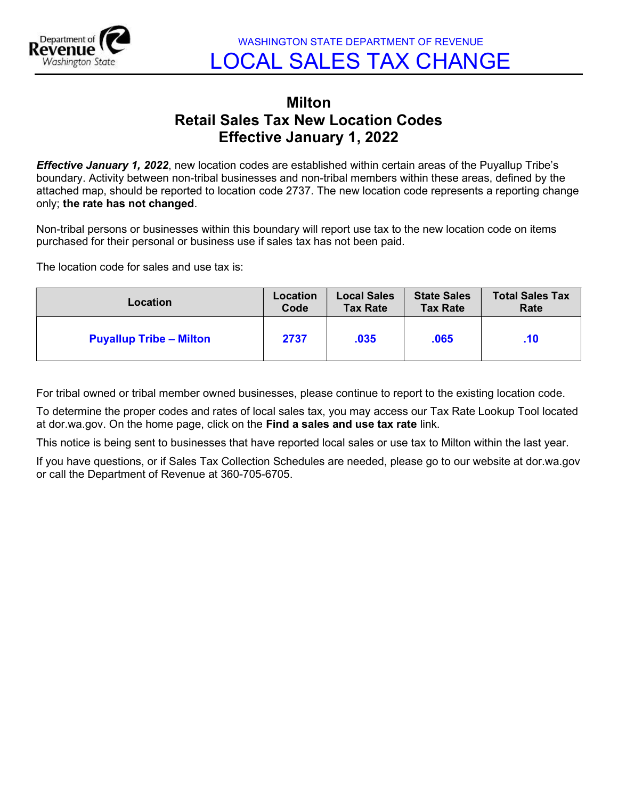

WASHINGTON STATE DEPARTMENT OF REVENUE LOCAL SALES TAX CHANGE

## Milton Retail Sales Tax New Location Codes Effective January 1, 2022

**Effective January 1, 2022**, new location codes are established within certain areas of the Puyallup Tribe's boundary. Activity between non-tribal businesses and non-tribal members within these areas, defined by the attached map, should be reported to location code 2737. The new location code represents a reporting change only; the rate has not changed.

Non-tribal persons or businesses within this boundary will report use tax to the new location code on items purchased for their personal or business use if sales tax has not been paid.

The location code for sales and use tax is:

| Location                       | Location | <b>Local Sales</b> | <b>State Sales</b> | <b>Total Sales Tax</b> |
|--------------------------------|----------|--------------------|--------------------|------------------------|
|                                | Code     | <b>Tax Rate</b>    | <b>Tax Rate</b>    | Rate                   |
| <b>Puyallup Tribe - Milton</b> | 2737     | .035               | .065               | .10                    |

For tribal owned or tribal member owned businesses, please continue to report to the existing location code.

To determine the proper codes and rates of local sales tax, you may access our Tax Rate Lookup Tool located at dor.wa.gov. On the home page, click on the Find a sales and use tax rate link.

This notice is being sent to businesses that have reported local sales or use tax to Milton within the last year.

If you have questions, or if Sales Tax Collection Schedules are needed, please go to our website at dor.wa.gov or call the Department of Revenue at 360-705-6705.